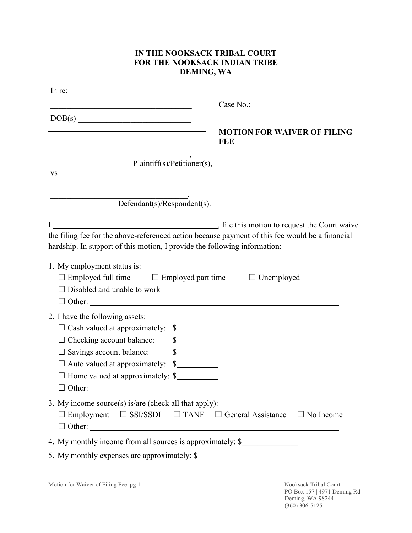## **IN THE NOOKSACK TRIBAL COURT FOR THE NOOKSACK INDIAN TRIBE DEMING, WA**

| In re:                                                                                                                                                                                                                                                                                                                                                                                                                                                                                                                                                                                                                                                                                                                                                                                                                                                                                                                                                                                                              | Case No.:                                                                |
|---------------------------------------------------------------------------------------------------------------------------------------------------------------------------------------------------------------------------------------------------------------------------------------------------------------------------------------------------------------------------------------------------------------------------------------------------------------------------------------------------------------------------------------------------------------------------------------------------------------------------------------------------------------------------------------------------------------------------------------------------------------------------------------------------------------------------------------------------------------------------------------------------------------------------------------------------------------------------------------------------------------------|--------------------------------------------------------------------------|
| DOB(s)                                                                                                                                                                                                                                                                                                                                                                                                                                                                                                                                                                                                                                                                                                                                                                                                                                                                                                                                                                                                              | <b>MOTION FOR WAIVER OF FILING</b><br>FEE                                |
| Plaintiff(s)/Petitioner(s),<br><b>VS</b>                                                                                                                                                                                                                                                                                                                                                                                                                                                                                                                                                                                                                                                                                                                                                                                                                                                                                                                                                                            |                                                                          |
| Defendant(s)/Respondent(s).                                                                                                                                                                                                                                                                                                                                                                                                                                                                                                                                                                                                                                                                                                                                                                                                                                                                                                                                                                                         |                                                                          |
| I<br>the filing fee for the above-referenced action because payment of this fee would be a financial<br>hardship. In support of this motion, I provide the following information:<br>1. My employment status is:<br>$\Box$ Employed full time $\Box$ Employed part time $\Box$ Unemployed<br>Disabled and unable to work<br>Other:                                                                                                                                                                                                                                                                                                                                                                                                                                                                                                                                                                                                                                                                                  | , file this motion to request the Court waive                            |
| 2. I have the following assets:<br>□ Cash valued at approximately: \$<br>$\frac{\sqrt{2}}{2}$<br>Checking account balance:<br>$\frac{\S_{\frac{1}{2}}}{\S_{\frac{1}{2}}}{\S_{\frac{1}{2}}}{\S_{\frac{1}{2}}}{\S_{\frac{1}{2}}}{\S_{\frac{1}{2}}}{\S_{\frac{1}{2}}}{\S_{\frac{1}{2}}}{\S_{\frac{1}{2}}}{\S_{\frac{1}{2}}}{\S_{\frac{1}{2}}}{\S_{\frac{1}{2}}}{\S_{\frac{1}{2}}}{\S_{\frac{1}{2}}}{\S_{\frac{1}{2}}}{\S_{\frac{1}{2}}}{\S_{\frac{1}{2}}}{\S_{\frac{1}{2}}}{\S_{\frac{1}{2}}}{\S_{\frac{1}{2$<br>Savings account balance:<br>Auto valued at approximately:<br>$\frac{\S_{\frac{1}{2}}}{\S_{\frac{1}{2}}}{\S_{\frac{1}{2}}}{\S_{\frac{1}{2}}}{\S_{\frac{1}{2}}}{\S_{\frac{1}{2}}}{\S_{\frac{1}{2}}}{\S_{\frac{1}{2}}}{\S_{\frac{1}{2}}}{\S_{\frac{1}{2}}}{\S_{\frac{1}{2}}}{\S_{\frac{1}{2}}}{\S_{\frac{1}{2}}}{\S_{\frac{1}{2}}}{\S_{\frac{1}{2}}}{\S_{\frac{1}{2}}}{\S_{\frac{1}{2}}}{\S_{\frac{1}{2}}}{\S_{\frac{1}{2}}}{\S_{\frac{1}{2$<br>$\Box$ Home valued at approximately: \$<br>$\Box$ Other: |                                                                          |
| 3. My income source(s) is/are (check all that apply):<br>$\Box$ Employment $\Box$ SSI/SSDI $\Box$ TANF $\Box$ General Assistance $\Box$ No Income                                                                                                                                                                                                                                                                                                                                                                                                                                                                                                                                                                                                                                                                                                                                                                                                                                                                   |                                                                          |
| 4. My monthly income from all sources is approximately: \$                                                                                                                                                                                                                                                                                                                                                                                                                                                                                                                                                                                                                                                                                                                                                                                                                                                                                                                                                          |                                                                          |
| 5. My monthly expenses are approximately: \$                                                                                                                                                                                                                                                                                                                                                                                                                                                                                                                                                                                                                                                                                                                                                                                                                                                                                                                                                                        |                                                                          |
| Motion for Waiver of Filing Fee pg 1                                                                                                                                                                                                                                                                                                                                                                                                                                                                                                                                                                                                                                                                                                                                                                                                                                                                                                                                                                                | Nooksack Tribal Court<br>PO Box 157   4971 Deming Rd<br>Deming, WA 98244 |

(360) 306-5125